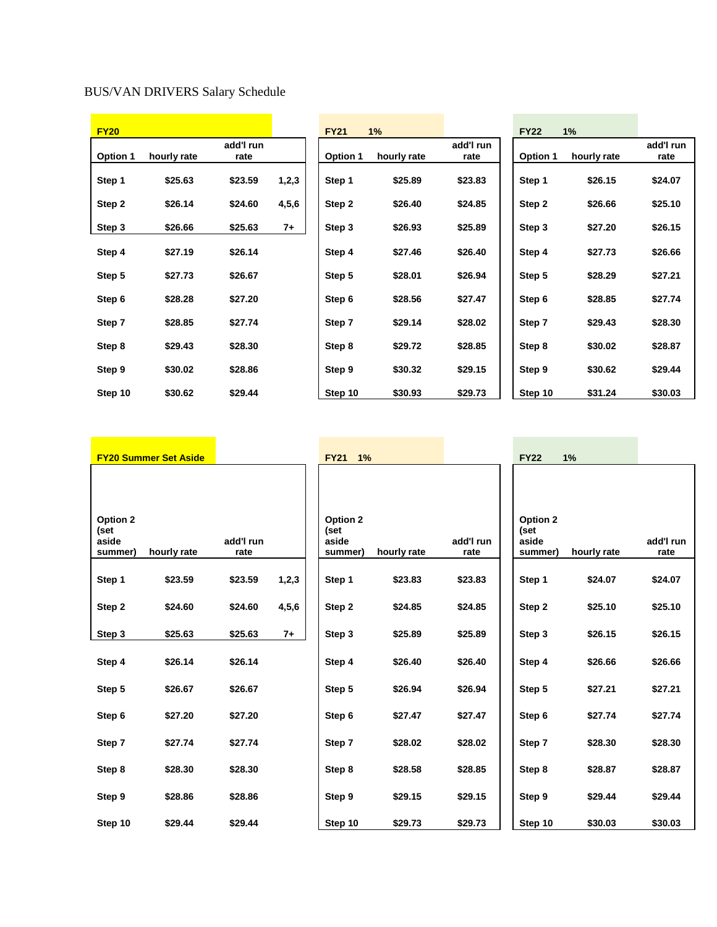## BUS/VAN DRIVERS Salary Schedule

| <b>FY20</b> |             |                   |       | <b>FY21</b>     | 1%          |                   | <b>FY22</b>     | 1%          |                   |
|-------------|-------------|-------------------|-------|-----------------|-------------|-------------------|-----------------|-------------|-------------------|
| Option 1    | hourly rate | add'l run<br>rate |       | <b>Option 1</b> | hourly rate | add'l run<br>rate | <b>Option 1</b> | hourly rate | add'l run<br>rate |
| Step 1      | \$25.63     | \$23.59           | 1,2,3 | Step 1          | \$25.89     | \$23.83           | Step 1          | \$26.15     | \$24.07           |
| Step 2      | \$26.14     | \$24.60           | 4,5,6 | Step 2          | \$26.40     | \$24.85           | Step 2          | \$26.66     | \$25.10           |
| Step 3      | \$26.66     | \$25.63           | $7+$  | Step 3          | \$26.93     | \$25.89           | Step 3          | \$27.20     | \$26.15           |
| Step 4      | \$27.19     | \$26.14           |       | Step 4          | \$27.46     | \$26.40           | Step 4          | \$27.73     | \$26.66           |
| Step 5      | \$27.73     | \$26.67           |       | Step 5          | \$28.01     | \$26.94           | Step 5          | \$28.29     | \$27.21           |
| Step 6      | \$28.28     | \$27.20           |       | Step 6          | \$28.56     | \$27.47           | Step 6          | \$28.85     | \$27.74           |
| Step 7      | \$28.85     | \$27.74           |       | Step 7          | \$29.14     | \$28.02           | Step 7          | \$29.43     | \$28.30           |
| Step 8      | \$29.43     | \$28.30           |       | Step 8          | \$29.72     | \$28.85           | Step 8          | \$30.02     | \$28.87           |
| Step 9      | \$30.02     | \$28.86           |       | Step 9          | \$30.32     | \$29.15           | Step 9          | \$30.62     | \$29.44           |
| Step 10     | \$30.62     | \$29.44           |       | Step 10         | \$30.93     | \$29.73           | Step 10         | \$31.24     | \$30.03           |

| <b>FY22</b><br><b>FY20 Summer Set Aside</b><br><b>FY21</b><br>1%<br>1%                     |                    |
|--------------------------------------------------------------------------------------------|--------------------|
|                                                                                            |                    |
|                                                                                            |                    |
|                                                                                            |                    |
| Option 2<br>Option 2<br>Option 2                                                           |                    |
| (set<br>(set<br>(set                                                                       |                    |
| add'l run<br>add'l run<br>aside<br>aside<br>aside                                          | add'l run          |
| hourly rate<br>rate<br>hourly rate<br>rate<br>hourly rate<br>summer)<br>summer)<br>summer) | rate               |
|                                                                                            |                    |
| \$23.59<br>\$23.59<br>1,2,3<br>Step 1<br>\$23.83<br>\$23.83<br>Step 1<br>Step 1            | \$24.07<br>\$24.07 |
|                                                                                            |                    |
| \$24.60<br>\$24.60<br>4, 5, 6<br>\$24.85<br>Step 2<br>\$24.85<br>Step 2<br>Step 2          | \$25.10<br>\$25.10 |
| $7+$<br>\$25.63<br>\$25.63<br>\$25.89<br>\$25.89<br>Step 3<br>Step 3<br>Step 3             | \$26.15<br>\$26.15 |
|                                                                                            |                    |
| \$26.14<br>\$26.14<br>\$26.40<br>\$26.40<br>Step 4<br>Step 4<br>Step 4                     | \$26.66<br>\$26.66 |
|                                                                                            |                    |
| \$26.67<br>\$26.67<br>\$26.94<br>\$26.94<br>Step 5<br>Step 5<br>Step 5                     | \$27.21<br>\$27.21 |
|                                                                                            |                    |
| \$27.47<br>\$27.47<br>\$27.20<br>\$27.20<br>Step 6<br>Step 6<br>Step 6                     | \$27.74<br>\$27.74 |
|                                                                                            |                    |
| \$27.74<br>\$27.74<br>\$28.02<br>\$28.02<br>Step 7<br>Step 7<br>Step 7                     | \$28.30<br>\$28.30 |
|                                                                                            |                    |
| \$28.30<br>\$28.30<br>\$28.58<br>\$28.85<br>Step 8<br>Step 8<br>Step 8                     | \$28.87<br>\$28.87 |
|                                                                                            |                    |
| \$28.86<br>\$29.15<br>\$28.86<br>Step 9<br>\$29.15<br>Step 9<br>Step 9                     | \$29.44<br>\$29.44 |
| \$29.44<br>\$29.44<br>Step 10<br>\$29.73<br>\$29.73<br>Step 10<br>Step 10                  | \$30.03<br>\$30.03 |